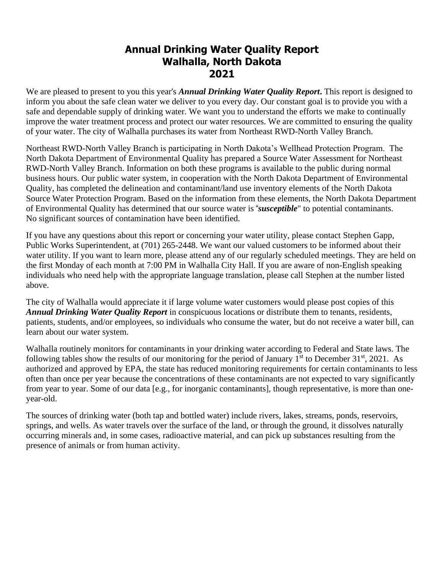## **Annual Drinking Water Quality Report Walhalla, North Dakota 2021**

We are pleased to present to you this year's *Annual Drinking Water Quality Report***.** This report is designed to inform you about the safe clean water we deliver to you every day. Our constant goal is to provide you with a safe and dependable supply of drinking water. We want you to understand the efforts we make to continually improve the water treatment process and protect our water resources. We are committed to ensuring the quality of your water. The city of Walhalla purchases its water from Northeast RWD-North Valley Branch.

Northeast RWD-North Valley Branch is participating in North Dakota's Wellhead Protection Program. The North Dakota Department of Environmental Quality has prepared a Source Water Assessment for Northeast RWD-North Valley Branch. Information on both these programs is available to the public during normal business hours. Our public water system, in cooperation with the North Dakota Department of Environmental Quality, has completed the delineation and contaminant/land use inventory elements of the North Dakota Source Water Protection Program. Based on the information from these elements, the North Dakota Department of Environmental Quality has determined that our source water is "*susceptible*" to potential contaminants. No significant sources of contamination have been identified.

If you have any questions about this report or concerning your water utility, please contact Stephen Gapp, Public Works Superintendent, at (701) 265-2448. We want our valued customers to be informed about their water utility. If you want to learn more, please attend any of our regularly scheduled meetings. They are held on the first Monday of each month at 7:00 PM in Walhalla City Hall. If you are aware of non-English speaking individuals who need help with the appropriate language translation, please call Stephen at the number listed above.

The city of Walhalla would appreciate it if large volume water customers would please post copies of this *Annual Drinking Water Quality Report* in conspicuous locations or distribute them to tenants, residents, patients, students, and/or employees, so individuals who consume the water, but do not receive a water bill, can learn about our water system.

Walhalla routinely monitors for contaminants in your drinking water according to Federal and State laws. The following tables show the results of our monitoring for the period of January  $1<sup>st</sup>$  to December 31 $<sup>st</sup>$ , 2021. As</sup> authorized and approved by EPA, the state has reduced monitoring requirements for certain contaminants to less often than once per year because the concentrations of these contaminants are not expected to vary significantly from year to year. Some of our data [e.g., for inorganic contaminants], though representative, is more than oneyear-old.

The sources of drinking water (both tap and bottled water) include rivers, lakes, streams, ponds, reservoirs, springs, and wells. As water travels over the surface of the land, or through the ground, it dissolves naturally occurring minerals and, in some cases, radioactive material, and can pick up substances resulting from the presence of animals or from human activity.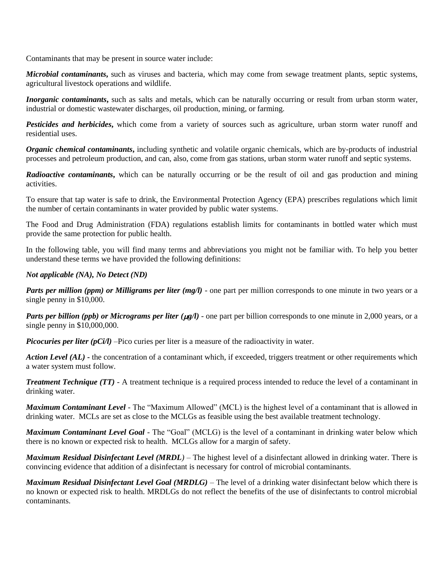Contaminants that may be present in source water include:

*Microbial contaminants***,** such as viruses and bacteria, which may come from sewage treatment plants, septic systems, agricultural livestock operations and wildlife.

*Inorganic contaminants*, such as salts and metals, which can be naturally occurring or result from urban storm water, industrial or domestic wastewater discharges, oil production, mining, or farming.

*Pesticides and herbicides***,** which come from a variety of sources such as agriculture, urban storm water runoff and residential uses.

*Organic chemical contaminants***,** including synthetic and volatile organic chemicals, which are by-products of industrial processes and petroleum production, and can, also, come from gas stations, urban storm water runoff and septic systems.

*Radioactive contaminants***,** which can be naturally occurring or be the result of oil and gas production and mining activities.

To ensure that tap water is safe to drink, the Environmental Protection Agency (EPA) prescribes regulations which limit the number of certain contaminants in water provided by public water systems.

The Food and Drug Administration (FDA) regulations establish limits for contaminants in bottled water which must provide the same protection for public health.

In the following table, you will find many terms and abbreviations you might not be familiar with. To help you better understand these terms we have provided the following definitions:

## *Not applicable (NA), No Detect (ND)*

*Parts per million (ppm) or Milligrams per liter (mg/l)* - one part per million corresponds to one minute in two years or a single penny in \$10,000.

*Parts per billion (ppb) or Micrograms per liter (* $\mu$ *g/l)* - one part per billion corresponds to one minute in 2,000 years, or a single penny in \$10,000,000.

*Picocuries per liter (pCi/l)* –Pico curies per liter is a measure of the radioactivity in water.

*Action Level (AL)* **-** the concentration of a contaminant which, if exceeded, triggers treatment or other requirements which a water system must follow.

*Treatment Technique (TT)* - A treatment technique is a required process intended to reduce the level of a contaminant in drinking water.

*Maximum Contaminant Level* - The "Maximum Allowed" (MCL) is the highest level of a contaminant that is allowed in drinking water. MCLs are set as close to the MCLGs as feasible using the best available treatment technology.

*Maximum Contaminant Level Goal* - The "Goal" (MCLG) is the level of a contaminant in drinking water below which there is no known or expected risk to health. MCLGs allow for a margin of safety.

*Maximum Residual Disinfectant Level (MRDL)* – The highest level of a disinfectant allowed in drinking water. There is convincing evidence that addition of a disinfectant is necessary for control of microbial contaminants.

*Maximum Residual Disinfectant Level Goal (MRDLG)* – The level of a drinking water disinfectant below which there is no known or expected risk to health. MRDLGs do not reflect the benefits of the use of disinfectants to control microbial contaminants.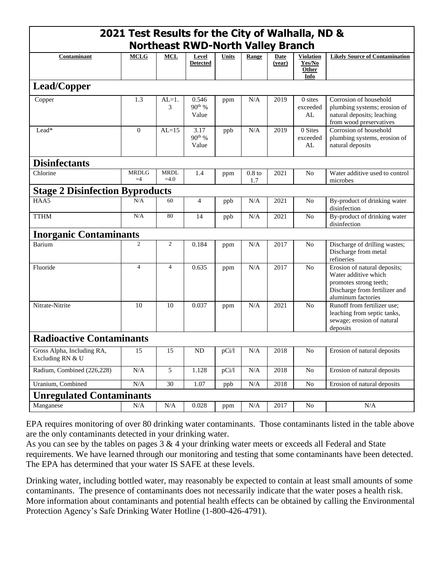| 2021 Test Results for the City of Walhalla, ND & |                      |                       |                            |              |                 |                |                                                    |                                                                                                                                       |
|--------------------------------------------------|----------------------|-----------------------|----------------------------|--------------|-----------------|----------------|----------------------------------------------------|---------------------------------------------------------------------------------------------------------------------------------------|
| <b>Northeast RWD-North Valley Branch</b>         |                      |                       |                            |              |                 |                |                                                    |                                                                                                                                       |
| Contaminant                                      | <b>MCLG</b>          | <b>MCL</b>            | Level<br><b>Detected</b>   | <b>Units</b> | Range           | Date<br>(year) | <b>Violation</b><br>Yes/No<br><b>Other</b><br>Info | <b>Likely Source of Contamination</b>                                                                                                 |
| Lead/Copper                                      |                      |                       |                            |              |                 |                |                                                    |                                                                                                                                       |
| Copper                                           | 1.3                  | $AL=1$ .<br>3         | 0.546<br>$90th$ %<br>Value | ppm          | N/A             | 2019           | $0$ sites<br>exceeded<br>AL                        | Corrosion of household<br>plumbing systems; erosion of<br>natural deposits; leaching<br>from wood preservatives                       |
| $\rm{Lead}^*$                                    | $\theta$             | $AI = 15$             | 3.17<br>$90th$ %<br>Value  | ppb          | N/A             | 2019           | 0 Sites<br>exceeded<br>AL                          | Corrosion of household<br>plumbing systems, erosion of<br>natural deposits                                                            |
| <b>Disinfectants</b>                             |                      |                       |                            |              |                 |                |                                                    |                                                                                                                                       |
| Chlorine                                         | <b>MRDLG</b><br>$=4$ | <b>MRDL</b><br>$=4.0$ | 1.4                        | ppm          | $0.8$ to<br>1.7 | 2021           | N <sub>o</sub>                                     | Water additive used to control<br>microbes                                                                                            |
| <b>Stage 2 Disinfection Byproducts</b>           |                      |                       |                            |              |                 |                |                                                    |                                                                                                                                       |
| HAA5                                             | N/A                  | 60                    | $\overline{4}$             | ppb          | N/A             | 2021           | N <sub>o</sub>                                     | By-product of drinking water<br>disinfection                                                                                          |
| <b>TTHM</b>                                      | N/A                  | 80                    | 14                         | ppb          | N/A             | 2021           | N <sub>o</sub>                                     | By-product of drinking water<br>disinfection                                                                                          |
| <b>Inorganic Contaminants</b>                    |                      |                       |                            |              |                 |                |                                                    |                                                                                                                                       |
| Barium                                           | $\overline{c}$       | $\overline{c}$        | 0.184                      | ppm          | N/A             | 2017           | N <sub>o</sub>                                     | Discharge of drilling wastes;<br>Discharge from metal<br>refineries                                                                   |
| Fluoride                                         | $\overline{4}$       | $\overline{4}$        | 0.635                      | ppm          | N/A             | 2017           | N <sub>0</sub>                                     | Erosion of natural deposits;<br>Water additive which<br>promotes strong teeth;<br>Discharge from fertilizer and<br>aluminum factories |
| Nitrate-Nitrite                                  | 10                   | 10                    | 0.037                      | ppm          | N/A             | 2021           | N <sub>o</sub>                                     | Runoff from fertilizer use;<br>leaching from septic tanks,<br>sewage; erosion of natural<br>deposits                                  |
| <b>Radioactive Contaminants</b>                  |                      |                       |                            |              |                 |                |                                                    |                                                                                                                                       |
| Gross Alpha, Including RA,<br>Excluding RN & U   | 15                   | 15                    | $\rm ND$                   | pCi          | $\rm N/A$       | 2018           | No                                                 | Erosion of natural deposits                                                                                                           |
| Radium, Combined (226,228)                       | $\rm N/A$            | $\overline{5}$        | 1.128                      | pCi/l        | N/A             | 2018           | No                                                 | Erosion of natural deposits                                                                                                           |
| Uranium, Combined                                | $\rm N/A$            | 30                    | 1.07                       | ppb          | $\rm N/A$       | 2018           | $\rm No$                                           | Erosion of natural deposits                                                                                                           |
| <b>Unregulated Contaminants</b>                  |                      |                       |                            |              |                 |                |                                                    |                                                                                                                                       |
| Manganese                                        | N/A                  | N/A                   | 0.028                      | ppm          | N/A             | 2017           | No                                                 | $\rm N/A$                                                                                                                             |

EPA requires monitoring of over 80 drinking water contaminants. Those contaminants listed in the table above are the only contaminants detected in your drinking water.

As you can see by the tables on pages 3 & 4 your drinking water meets or exceeds all Federal and State requirements. We have learned through our monitoring and testing that some contaminants have been detected. The EPA has determined that your water IS SAFE at these levels.

Drinking water, including bottled water, may reasonably be expected to contain at least small amounts of some contaminants. The presence of contaminants does not necessarily indicate that the water poses a health risk. More information about contaminants and potential health effects can be obtained by calling the Environmental Protection Agency's Safe Drinking Water Hotline (1-800-426-4791).